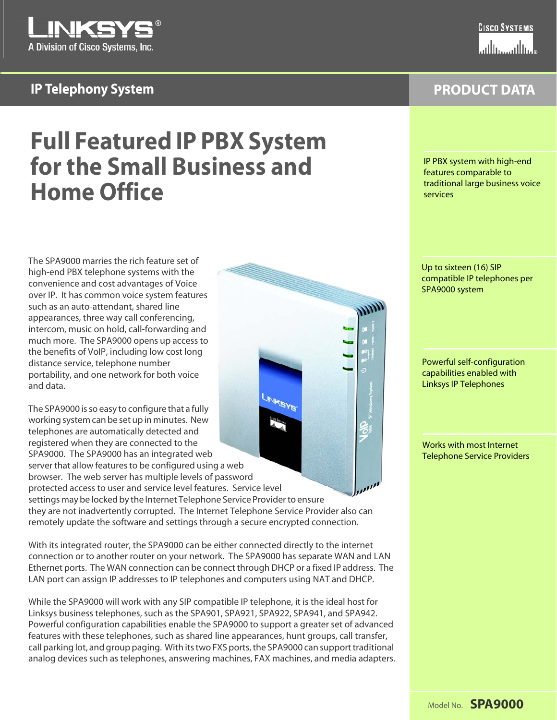

# **IP Telephony System**

**PRODUCT DATA**

# **Full Featured IP PBX System for the Small Business and Home Office**

The SPA9000 marries the rich feature set of high-end PBX telephone systems with the convenience and cost advantages of Voice over IP. It has common voice system features such as an auto-attendant, shared line appearances, three way call conferencing, intercom, music on hold, call-forwarding and much more. The SPA9000 opens up access to the benefits of VoIP, including low cost long distance service, telephone number portability, and one network for both voice and data.

**INFOYS** The SPA9000 is so easy to configure that a fully working system can be set up in minutes. New telephones are automatically detected and registered when they are connected to the SPA9000. The SPA9000 has an integrated web server that allow features to be configured using a web browser. The web server has multiple levels of password protected access to user and service level features. Service level settings may be locked by the Internet Telephone Service Provider to ensure they are not inadvertently corrupted. The Internet Telephone Service Provider also can remotely update the software and settings through a secure encrypted connection.

With its integrated router, the SPA9000 can be either connected directly to the internet connection or to another router on your network. The SPA9000 has separate WAN and LAN Ethernet ports. The WAN connection can be connect through DHCP or a fixed IP address. The LAN port can assign IP addresses to IP telephones and computers using NAT and DHCP.

While the SPA9000 will work with any SIP compatible IP telephone, it is the ideal host for Linksys business telephones, such as the SPA901, SPA921, SPA922, SPA941, and SPA942. Powerful configuration capabilities enable the SPA9000 to support a greater set of advanced features with these telephones, such as shared line appearances, hunt groups, call transfer, call parking lot, and group paging. With its two FXS ports, the SPA9000 can support traditional analog devices such as telephones, answering machines, FAX machines, and media adapters. IP PBX system with high-end features comparable to traditional large business voice services

Up to sixteen (16) SIP compatible IP telephones per SPA9000 system

Powerful self-configuration capabilities enabled with Linksys IP Telephones

Works with most Internet Telephone Service Providers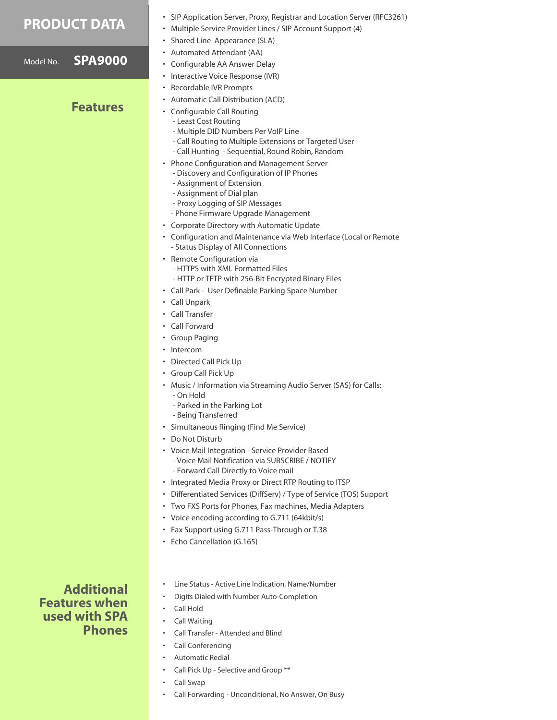### **PRODUCT DATA**

Model No. **SPA9000**

### **Features**

- SIP Application Server, Proxy, Registrar and Location Server (RFC3261)
- Multiple Service Provider Lines / SIP Account Support (4)
- Shared Line Appearance (SLA)
- Automated Attendant (AA)
- Configurable AA Answer Delay
- Interactive Voice Response (IVR)
- Recordable IVR Prompts
- Automatic Call Distribution (ACD)
- Configurable Call Routing
	- Least Cost Routing
	- Multiple DID Numbers Per VoIP Line
	- Call Routing to Multiple Extensions or Targeted User
	- Call Hunting Sequential, Round Robin, Random
	- Phone Configuration and Management Server
	- Discovery and Configuration of IP Phones
	- Assignment of Extension
	- Assignment of Dial plan
	- Proxy Logging of SIP Messages
	- Phone Firmware Upgrade Management
- Corporate Directory with Automatic Update
	- Configuration and Maintenance via Web Interface (Local or Remote - Status Display of All Connections
- Remote Configuration via - HTTPS with XML Formatted Files - HTTP or TFTP with 256-Bit Encrypted Binary Files
- Call Park User Definable Parking Space Number
- Call Unpark
- Call Transfer
- Call Forward
- Group Paging
- Intercom
- Directed Call Pick Up
- Group Call Pick Up
- Music / Information via Streaming Audio Server (SAS) for Calls:
	- On Hold
	- Parked in the Parking Lot
- Being Transferred
- Simultaneous Ringing (Find Me Service)
- Do Not Disturb
- Voice Mail Integration Service Provider Based - Voice Mail Notification via SUBSCRIBE / NOTIFY
	- Forward Call Directly to Voice mail
- Integrated Media Proxy or Direct RTP Routing to ITSP
- Differentiated Services (DiffServ) / Type of Service (TOS) Support
- Two FXS Ports for Phones, Fax machines, Media Adapters
- Voice encoding according to G.711 (64kbit/s)
- Fax Support using G.711 Pass-Through or T.38
- Echo Cancellation (G.165)

**Additional Features when used with SPA Phones**

- Line Status Active Line Indication, Name/Number
- Digits Dialed with Number Auto-Completion
- Call Hold
- Call Waiting
- Call Transfer Attended and Blind
- Call Conferencing
- Automatic Redial
- Call Pick Up Selective and Group \*\*
- Call Swap
- Call Forwarding Unconditional, No Answer, On Busy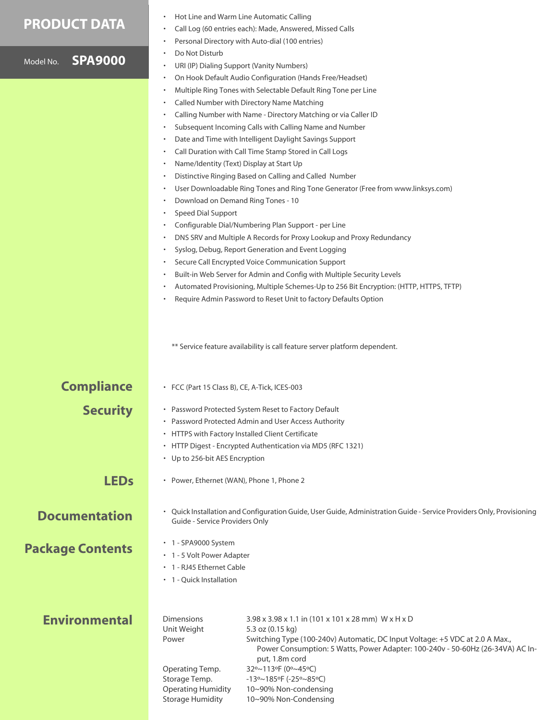## **PRODUCT DATA**

|                                                                         |                |                                                                                                                  | Personal Directory with Auto-dial (100 entries)                                                                                                                |  |
|-------------------------------------------------------------------------|----------------|------------------------------------------------------------------------------------------------------------------|----------------------------------------------------------------------------------------------------------------------------------------------------------------|--|
|                                                                         |                | Do Not Disturb                                                                                                   |                                                                                                                                                                |  |
| Model No.                                                               | <b>SPA9000</b> |                                                                                                                  | URI (IP) Dialing Support (Vanity Numbers)                                                                                                                      |  |
|                                                                         |                |                                                                                                                  | On Hook Default Audio Configuration (Hands Free/Headset)                                                                                                       |  |
|                                                                         |                |                                                                                                                  | Multiple Ring Tones with Selectable Default Ring Tone per Line                                                                                                 |  |
|                                                                         |                |                                                                                                                  | Called Number with Directory Name Matching                                                                                                                     |  |
|                                                                         |                |                                                                                                                  | Calling Number with Name - Directory Matching or via Caller ID                                                                                                 |  |
|                                                                         |                |                                                                                                                  | Subsequent Incoming Calls with Calling Name and Number                                                                                                         |  |
|                                                                         |                |                                                                                                                  | Date and Time with Intelligent Daylight Savings Support                                                                                                        |  |
|                                                                         |                |                                                                                                                  | Call Duration with Call Time Stamp Stored in Call Logs                                                                                                         |  |
|                                                                         |                | Name/Identity (Text) Display at Start Up                                                                         |                                                                                                                                                                |  |
|                                                                         |                |                                                                                                                  | Distinctive Ringing Based on Calling and Called Number                                                                                                         |  |
|                                                                         |                |                                                                                                                  | User Downloadable Ring Tones and Ring Tone Generator (Free from www.linksys.com)                                                                               |  |
|                                                                         |                | Download on Demand Ring Tones - 10                                                                               |                                                                                                                                                                |  |
|                                                                         |                | <b>Speed Dial Support</b>                                                                                        |                                                                                                                                                                |  |
|                                                                         |                |                                                                                                                  | Configurable Dial/Numbering Plan Support - per Line                                                                                                            |  |
|                                                                         |                |                                                                                                                  | DNS SRV and Multiple A Records for Proxy Lookup and Proxy Redundancy                                                                                           |  |
|                                                                         |                |                                                                                                                  | Syslog, Debug, Report Generation and Event Logging                                                                                                             |  |
|                                                                         |                |                                                                                                                  | Secure Call Encrypted Voice Communication Support                                                                                                              |  |
|                                                                         |                |                                                                                                                  | Built-in Web Server for Admin and Config with Multiple Security Levels                                                                                         |  |
|                                                                         |                |                                                                                                                  | Automated Provisioning, Multiple Schemes-Up to 256 Bit Encryption: (HTTP, HTTPS, TFTP)                                                                         |  |
|                                                                         |                |                                                                                                                  | Require Admin Password to Reset Unit to factory Defaults Option                                                                                                |  |
|                                                                         |                |                                                                                                                  |                                                                                                                                                                |  |
|                                                                         |                |                                                                                                                  |                                                                                                                                                                |  |
|                                                                         |                | ** Service feature availability is call feature server platform dependent.                                       |                                                                                                                                                                |  |
|                                                                         |                |                                                                                                                  |                                                                                                                                                                |  |
|                                                                         |                |                                                                                                                  |                                                                                                                                                                |  |
|                                                                         |                |                                                                                                                  |                                                                                                                                                                |  |
| <b>Compliance</b>                                                       |                | • FCC (Part 15 Class B), CE, A-Tick, ICES-003                                                                    |                                                                                                                                                                |  |
|                                                                         |                | • Password Protected System Reset to Factory Default                                                             |                                                                                                                                                                |  |
| <b>Security</b><br>• Password Protected Admin and User Access Authority |                |                                                                                                                  |                                                                                                                                                                |  |
|                                                                         |                | • HTTPS with Factory Installed Client Certificate<br>• HTTP Digest - Encrypted Authentication via MD5 (RFC 1321) |                                                                                                                                                                |  |
|                                                                         |                |                                                                                                                  |                                                                                                                                                                |  |
|                                                                         |                |                                                                                                                  | • Up to 256-bit AES Encryption                                                                                                                                 |  |
|                                                                         |                |                                                                                                                  |                                                                                                                                                                |  |
| <b>LEDs</b>                                                             |                | • Power, Ethernet (WAN), Phone 1, Phone 2                                                                        |                                                                                                                                                                |  |
|                                                                         |                |                                                                                                                  |                                                                                                                                                                |  |
|                                                                         |                |                                                                                                                  | • Quick Installation and Configuration Guide, User Guide, Administration Guide - Service Providers Only, Provisioning                                          |  |
| <b>Documentation</b><br>Guide - Service Providers Only                  |                |                                                                                                                  |                                                                                                                                                                |  |
|                                                                         |                |                                                                                                                  |                                                                                                                                                                |  |
|                                                                         |                | • 1 - SPA9000 System                                                                                             |                                                                                                                                                                |  |
| <b>Package Contents</b>                                                 |                | • 1 - 5 Volt Power Adapter                                                                                       |                                                                                                                                                                |  |
|                                                                         |                | • 1 - RJ45 Ethernet Cable                                                                                        |                                                                                                                                                                |  |
|                                                                         |                | • 1 - Quick Installation                                                                                         |                                                                                                                                                                |  |
|                                                                         |                |                                                                                                                  |                                                                                                                                                                |  |
|                                                                         |                |                                                                                                                  |                                                                                                                                                                |  |
| <b>Environmental</b>                                                    |                | <b>Dimensions</b>                                                                                                | 3.98 x 3.98 x 1.1 in (101 x 101 x 28 mm) W x H x D                                                                                                             |  |
|                                                                         |                | Unit Weight                                                                                                      | 5.3 oz (0.15 kg)                                                                                                                                               |  |
|                                                                         |                | Power                                                                                                            | Switching Type (100-240v) Automatic, DC Input Voltage: +5 VDC at 2.0 A Max.,<br>Power Consumption: 5 Watts, Power Adapter: 100-240v - 50-60Hz (26-34VA) AC In- |  |
|                                                                         |                |                                                                                                                  | put, 1.8m cord                                                                                                                                                 |  |
|                                                                         |                | Operating Temp.                                                                                                  | 32°~113°F (0°~45°C)                                                                                                                                            |  |
|                                                                         |                | Storage Temp.                                                                                                    | $-13$ °~185°F (-25°~85°C)                                                                                                                                      |  |
|                                                                         |                | <b>Operating Humidity</b>                                                                                        | 10~90% Non-condensing                                                                                                                                          |  |

10~90% Non-Condensing

Storage Humidity

• Hot Line and Warm Line Automatic Calling

• Call Log (60 entries each): Made, Answered, Missed Calls